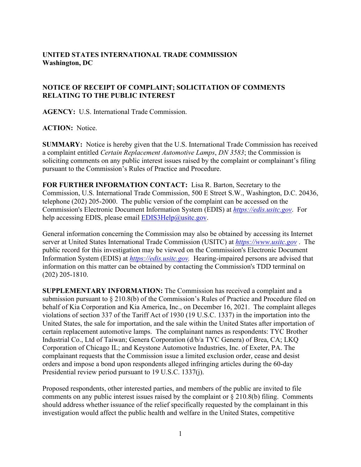## **UNITED STATES INTERNATIONAL TRADE COMMISSION Washington, DC**

## **NOTICE OF RECEIPT OF COMPLAINT; SOLICITATION OF COMMENTS RELATING TO THE PUBLIC INTEREST**

**AGENCY:** U.S. International Trade Commission.

**ACTION:** Notice.

**SUMMARY:** Notice is hereby given that the U.S. International Trade Commission has received a complaint entitled *Certain Replacement Automotive Lamps*, *DN 3583*; the Commission is soliciting comments on any public interest issues raised by the complaint or complainant's filing pursuant to the Commission's Rules of Practice and Procedure.

**FOR FURTHER INFORMATION CONTACT:** Lisa R. Barton, Secretary to the Commission, U.S. International Trade Commission, 500 E Street S.W., Washington, D.C. 20436, telephone (202) 205-2000. The public version of the complaint can be accessed on the Commission's Electronic Document Information System (EDIS) at *[https://edis.usitc.gov](https://edis.usitc.gov/)*. For help accessing EDIS, please email [EDIS3Help@usitc.gov.](mailto:EDIS3Help@usitc.gov)

General information concerning the Commission may also be obtained by accessing its Internet server at United States International Trade Commission (USITC) at *[https://www.usitc.gov](https://www.usitc.gov/)* . The public record for this investigation may be viewed on the Commission's Electronic Document Information System (EDIS) at *[https://edis.usitc.gov.](https://edis.usitc.gov/)* Hearing-impaired persons are advised that information on this matter can be obtained by contacting the Commission's TDD terminal on (202) 205-1810.

**SUPPLEMENTARY INFORMATION:** The Commission has received a complaint and a submission pursuant to § 210.8(b) of the Commission's Rules of Practice and Procedure filed on behalf of Kia Corporation and Kia America, Inc., on December 16, 2021. The complaint alleges violations of section 337 of the Tariff Act of 1930 (19 U.S.C. 1337) in the importation into the United States, the sale for importation, and the sale within the United States after importation of certain replacement automotive lamps. The complainant names as respondents: TYC Brother Industrial Co., Ltd of Taiwan; Genera Corporation (d/b/a TYC Genera) of Brea, CA; LKQ Corporation of Chicago IL; and Keystone Automotive Industries, Inc. of Exeter, PA. The complainant requests that the Commission issue a limited exclusion order, cease and desist orders and impose a bond upon respondents alleged infringing articles during the 60-day Presidential review period pursuant to 19 U.S.C. 1337(j).

Proposed respondents, other interested parties, and members of the public are invited to file comments on any public interest issues raised by the complaint or  $\S 210.8(b)$  filing. Comments should address whether issuance of the relief specifically requested by the complainant in this investigation would affect the public health and welfare in the United States, competitive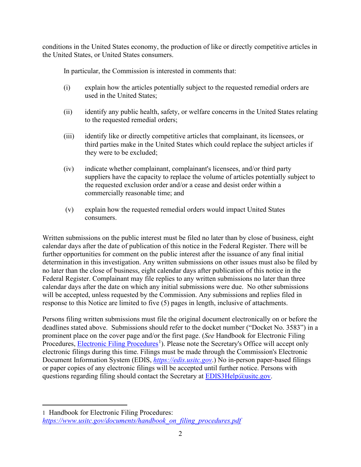conditions in the United States economy, the production of like or directly competitive articles in the United States, or United States consumers.

In particular, the Commission is interested in comments that:

- (i) explain how the articles potentially subject to the requested remedial orders are used in the United States;
- (ii) identify any public health, safety, or welfare concerns in the United States relating to the requested remedial orders;
- (iii) identify like or directly competitive articles that complainant, its licensees, or third parties make in the United States which could replace the subject articles if they were to be excluded;
- (iv) indicate whether complainant, complainant's licensees, and/or third party suppliers have the capacity to replace the volume of articles potentially subject to the requested exclusion order and/or a cease and desist order within a commercially reasonable time; and
- (v) explain how the requested remedial orders would impact United States consumers.

Written submissions on the public interest must be filed no later than by close of business, eight calendar days after the date of publication of this notice in the Federal Register. There will be further opportunities for comment on the public interest after the issuance of any final initial determination in this investigation. Any written submissions on other issues must also be filed by no later than the close of business, eight calendar days after publication of this notice in the Federal Register. Complainant may file replies to any written submissions no later than three calendar days after the date on which any initial submissions were due. No other submissions will be accepted, unless requested by the Commission. Any submissions and replies filed in response to this Notice are limited to five (5) pages in length, inclusive of attachments.

Persons filing written submissions must file the original document electronically on or before the deadlines stated above. Submissions should refer to the docket number ("Docket No. 3583") in a prominent place on the cover page and/or the first page. (*See* Handbook for Electronic Filing Procedures, **Electronic Filing Procedures**<sup>[1](#page-1-0)</sup>). Please note the Secretary's Office will accept only electronic filings during this time. Filings must be made through the Commission's Electronic Document Information System (EDIS, *[https://edis.usitc.gov](https://edis.usitc.gov/)*.) No in-person paper-based filings or paper copies of any electronic filings will be accepted until further notice. Persons with questions regarding filing should contact the Secretary at **EDIS3Help@usitc.gov**.

<span id="page-1-0"></span><sup>1</sup> Handbook for Electronic Filing Procedures: *[https://www.usitc.gov/documents/handbook\\_on\\_filing\\_procedures.pdf](https://www.usitc.gov/documents/handbook_on_filing_procedures.pdf)*